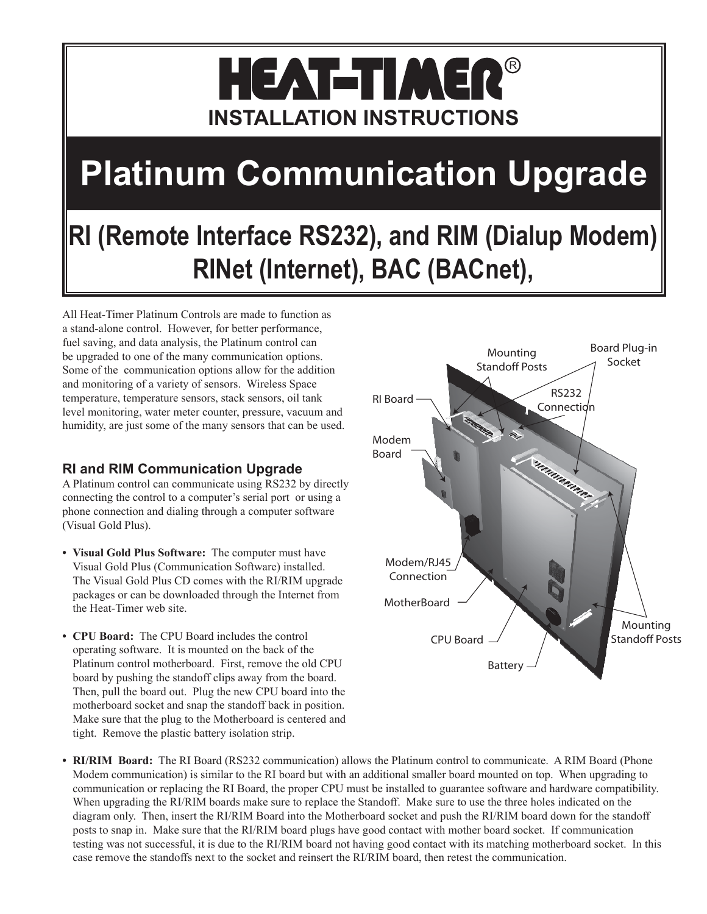### HEAT-TIMER R **INSTALLATION INSTRUCTIONS**

# **Platinum Communication Upgrade**

## **RI (Remote Interface RS232), and RIM (Dialup Modem) RINet (Internet), BAC (BACnet),**

All Heat-Timer Platinum Controls are made to function as a stand-alone control. However, for better performance, fuel saving, and data analysis, the Platinum control can be upgraded to one of the many communication options. Some of the communication options allow for the addition and monitoring of a variety of sensors. Wireless Space temperature, temperature sensors, stack sensors, oil tank level monitoring, water meter counter, pressure, vacuum and humidity, are just some of the many sensors that can be used.

#### **RI and RIM Communication Upgrade**

A Platinum control can communicate using RS232 by directly connecting the control to a computer's serial port or using a phone connection and dialing through a computer software (Visual Gold Plus).

- **• Visual Gold Plus Software:** The computer must have Visual Gold Plus (Communication Software) installed. The Visual Gold Plus CD comes with the RI/RIM upgrade packages or can be downloaded through the Internet from the Heat-Timer web site.
- **• CPU Board:** The CPU Board includes the control operating software. It is mounted on the back of the Platinum control motherboard. First, remove the old CPU board by pushing the standoff clips away from the board. Then, pull the board out. Plug the new CPU board into the motherboard socket and snap the standoff back in position. Make sure that the plug to the Motherboard is centered and tight. Remove the plastic battery isolation strip.



**• RI/RIM Board:** The RI Board (RS232 communication) allows the Platinum control to communicate. A RIM Board (Phone Modem communication) is similar to the RI board but with an additional smaller board mounted on top. When upgrading to communication or replacing the RI Board, the proper CPU must be installed to guarantee software and hardware compatibility. When upgrading the RI/RIM boards make sure to replace the Standoff. Make sure to use the three holes indicated on the diagram only. Then, insert the RI/RIM Board into the Motherboard socket and push the RI/RIM board down for the standoff posts to snap in. Make sure that the RI/RIM board plugs have good contact with mother board socket. If communication testing was not successful, it is due to the RI/RIM board not having good contact with its matching motherboard socket. In this case remove the standoffs next to the socket and reinsert the RI/RIM board, then retest the communication.